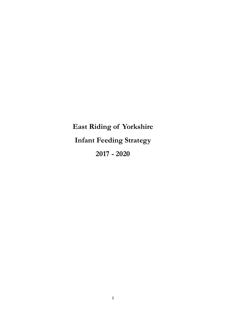**East Riding of Yorkshire Infant Feeding Strategy 2017 - 2020**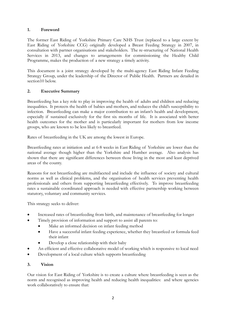#### **1. Foreword**

The former East Riding of Yorkshire Primary Care NHS Trust (replaced to a large extent by East Riding of Yorkshire CCG) originally developed a Breast Feeding Strategy in 2007, in consultation with partner organisations and stakeholders. The re-structuring of National Health Services in 2013, and changes to arrangements for commissioning the Healthy Child Programme, makes the production of a new strategy a timely activity.

This document is a joint strategy developed by the multi-agency East Riding Infant Feeding Strategy Group, under the leadership of the Director of Public Health. Partners are detailed in section<sub>10</sub> below.

#### **2. Executive Summary**

Breastfeeding has a key role to play in improving the health of adults and children and reducing inequalities. It protects the health of babies and mothers, and reduces the child's susceptibility to infection. Breastfeeding can make a major contribution to an infant's health and development, especially if sustained exclusively for the first six months of life. It is associated with better health outcomes for the mother and is particularly important for mothers from low income groups, who are known to be less likely to breastfeed.

Rates of breastfeeding in the UK are among the lowest in Europe.

Breastfeeding rates at initiation and at 6-8 weeks in East Riding of Yorkshire are lower than the national average though higher than the Yorkshire and Humber average. Also analysis has shown that there are significant differences between those living in the most and least deprived areas of the county.

Reasons for not breastfeeding are multifaceted and include the influence of society and cultural norms as well as clinical problems, and the organisation of health services preventing health professionals and others from supporting breastfeeding effectively. To improve breastfeeding rates a sustainable coordinated approach is needed with effective partnership working between statutory, voluntary and community services.

This strategy seeks to deliver:

- Increased rates of breastfeeding from birth, and maintenance of breastfeeding for longer
- Timely provision of information and support to assist all parents to:
	- Make an informed decision on infant feeding method
	- Have a successful infant feeding experience, whether they breastfeed or formula feed their infant
	- Develop a close relationship with their baby
- An efficient and effective collaborative model of working which is responsive to local need
- Development of a local culture which supports breastfeeding

#### **3. Vision**

Our vision for East Riding of Yorkshire is to create a culture where breastfeeding is seen as the norm and recognised as improving health and reducing health inequalities: and where agencies work collaboratively to ensure that: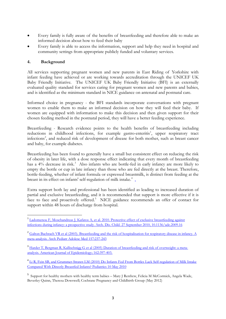- Every family is fully aware of the benefits of breastfeeding and therefore able to make an informed decision about how to feed their baby
- Every family is able to access the information, support and help they need in hospital and community settings from appropriate publicly funded and voluntary services.

#### **4. Background**

All services supporting pregnant women and new parents in East Riding of Yorkshire with infant feeding have achieved or are working towards accreditation through the UNICEF UK Baby Friendly Initiative. The UNICEF UK Baby Friendly Initiative (BFI) is an externally evaluated quality standard for services caring for pregnant women and new parents and babies, and is identified as the minimum standard in NICE guidance on antenatal and postnatal care.

Informed choice in pregnancy - the BFI standards incorporate conversations with pregnant women to enable them to make an informed decision on how they will feed their baby. If women are equipped with information to make this decision and then given support for their chosen feeding method in the postnatal period, they will have a better feeding experience.

Breastfeeding - Research evidence points to the health benefits of breastfeeding including reductions in childhood infections, for example gastro-enteritis<sup>[1](#page-2-0)</sup>, upper respiratory tract infections<sup>[2](#page-2-1)</sup>, and reduced risk of development of disease for both mother, such as breast cancer and baby, for example diabetes.

Breastfeeding has been found to generally have a small but consistent effect on reducing the risk of obesity in later life, with a dose response effect indicating that every month of breastfeeding has a 4% decrease in risk.<sup>[3](#page-2-2)</sup> Also infants who are bottle-fed in early infancy are more likely to empty the bottle or cup in late infancy than those who are fed directly at the breast. Therefore, bottle-feeding, whether of infant formula or expressed breastmilk, is distinct from feeding at the breast in its effect on infants' self-regulation of milk intake.<sup>[4](#page-2-3)</sup>.

Extra support both lay and professional has been identified as leading to increased duration of partial and exclusive breastfeeding, and it is recommended that support is more effective if it is face to face and proactively offered.<sup>[5](#page-2-4)</sup> NICE guidance recommends an offer of contact for support within 48 hours of discharge from hospital.

<span id="page-2-0"></span><sup>&</sup>lt;sup>1</sup> Ladomenou F, Moschandreas J, Kafatos A, et al. 2010. Protective effect of exclusive breastfeeding against [infections during infancy: a prospective study. Arch. Dis. Child. 27 September 2010, 10.1136/adc.2009.16](http://www.unicef.org.uk/BabyFriendly/News-and-Research/Research/Miscellaneous-illnesses/Exclusive-breastfeeding-protects-against-infections/)

<span id="page-2-1"></span><sup>&</sup>lt;sup>2</sup> Galton Bachrach VR et al (2003). Breastfeeding and the risk of hospitalisation for respiratory disease in infancy. A [meta-analysis. Arch Pediatr Adolesc Med 157:237-243](http://www.ncbi.nlm.nih.gov/pubmed/12622672)

<span id="page-2-2"></span><sup>3</sup> [Harder T, Bergman R, Kallischnigg G et al \(2005\) Duration of breastfeeding and risk of overweight: a meta](http://www.unicef.org.uk/BabyFriendly/News-and-Research/Research/Obesity/Duration-of-breastfeeding-linked-to-reduced-obesity-risk/)[analysis. American Journal of Epidemiology; 162:397-403.](http://www.unicef.org.uk/BabyFriendly/News-and-Research/Research/Obesity/Duration-of-breastfeeding-linked-to-reduced-obesity-risk/)

<span id="page-2-3"></span><sup>&</sup>lt;sup>4</sup> Li R, Fein SB, and Grummer-Strawn LM (2010) Do Infants Fed From Bottles Lack Self-regulation of Milk Intake [Compared With Directly Breastfed Infants? Pediatrics 10 May 2010](http://highwire.stanford.edu/cgi/medline/pmid;20457676)

<span id="page-2-4"></span><sup>&</sup>lt;sup>5</sup> Support for healthy mothers with healthy term babies - Mary J Renfrew, Felicia M McCormick, Angela Wade, Beverley Quinn, Theresa Dowswell; Cochrane Pregnancy and Childbirth Group (May 2012)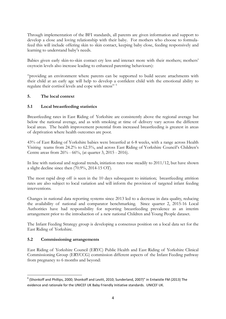Through implementation of the BFI standards, all parents are given information and support to develop a close and loving relationship with their baby. For mothers who choose to formulafeed this will include offering skin to skin contact, keeping baby close, feeding responsively and learning to understand baby's needs.

Babies given early skin-to-skin contact cry less and interact more with their mothers; mothers' oxytocin levels also increase leading to enhanced parenting behaviours):

"providing an environment where parents can be supported to build secure attachments with their child at an early age will help to develop a confident child with the emotional ability to regulate their cortisol levels and cope with stress" [6](#page-3-0)

#### **5. The local context**

#### **5.1 Local breastfeeding statistics**

Breastfeeding rates in East Riding of Yorkshire are consistently above the regional average but below the national average, and as with smoking at time of delivery vary across the different local areas. The health improvement potential from increased breastfeeding is greatest in areas of deprivation where health outcomes are poor.

43% of East Riding of Yorkshire babies were breastfed at 6-8 weeks, with a range across Health Visiting teams from 24.2% to 62.5%, and across East Riding of Yorkshire Council's Children's Centre areas from 26% - 66%, (at quarter 3, 2015 - 2016).

In line with national and regional trends, initiation rates rose steadily to 2011/12, but have shown a slight decline since then (70.9%, 2014-15 OT).

The most rapid drop off is seen in the 10 days subsequent to initiation; breastfeeding attrition rates are also subject to local variation and will inform the provision of targeted infant feeding interventions.

Changes in national data reporting systems since 2013 led to a decrease in data quality, reducing the availability of national and comparator benchmarking. Since quarter 2, 2015-16 Local Authorities have had responsibility for reporting breastfeeding prevalence as an interim arrangement prior to the introduction of a new national Children and Young People dataset.

The Infant Feeding Strategy group is developing a consensus position on a local data set for the East Riding of Yorkshire.

#### **5.2 Commissioning arrangements**

East Riding of Yorkshire Council (ERYC) Public Health and East Riding of Yorkshire Clinical Commissioning Group (ERYCCG) commission different aspects of the Infant Feeding pathway from pregnancy to 6 months and beyond:

<span id="page-3-0"></span> $^6$  (Shonkoff and Phillips, 2000; Shonkoff and Levitt, 2010; Sunderland, 2007)" in Entwistle FM (2013) The evidence and rationale for the UNICEF UK Baby Friendly Initiative standards. UNICEF UK.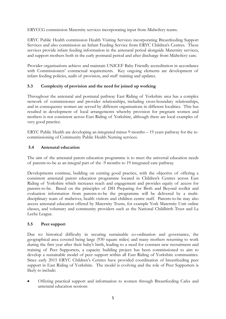ERYCCG commission Maternity services incorporating input from Midwifery teams.

ERYC Public Health commission Health Visiting Services incorporating Breastfeeding Support Services and also commission an Infant Feeding Service from ERYC Children's Centres. These services provide infant feeding information in the antenatal period alongside Maternity services, and support mothers both in the early postnatal period and after discharge from Midwifery care.

Provider organisations achieve and maintain UNICEF Baby Friendly accreditation in accordance with Commissioners' contractual requirements. Key ongoing elements are development of infant feeding policies, audit of provision, and staff training and updates.

## **5.3 Complexity of provision and the need for joined up working**

Throughout the antenatal and postnatal pathway East Riding of Yorkshire area has a complex network of commissioner and provider relationships, including cross-boundary relationships, and in consequence women are served by different organisations in different localities. This has resulted in development of local arrangements whereby provision for pregnant women and mothers is not consistent across East Riding of Yorkshire, although there are local examples of very good practice.

ERYC Public Health are developing an integrated minus 9 months – 19 years pathway for the recommissioning of Community Public Health Nursing services.

#### **5.4 Antenatal education**

The aim of the antenatal parent education programme is to meet the universal education needs of parents-to-be as an integral part of the -9 months to 19 integrated care pathway.

Developments continue, building on existing good practice, with the objective of offering a consistent antenatal parent education programme located in Children's Centres across East Riding of Yorkshire which increases reach and engagement and provides equity of access for parents-to-be. Based on the principles of DH Preparing for Birth and Beyond toolkit and evaluation information from parents-to-be the programme will be delivered by a multidisciplinary team of midwives, health visitors and children centre staff. Parents-to-be may also access antenatal education offered by Maternity Trusts, for example York Maternity Unit online classes, and voluntary and community providers such as the National Childbirth Trust and La Leche League.

#### **5.5 Peer support**

Due to: historical difficulty in securing sustainable co-ordination and governance, the geographical area covered being large (930 square miles) and many mothers returning to work during the first year after their baby's birth, leading to a need for constant new recruitment and training of Peer Supporters, a capacity building project has been commissioned to aim to develop a sustainable model of peer support within all East Riding of Yorkshire communities. Since early 2015 ERYC Children's Centres have provided coordination of breastfeeding peer support in East Riding of Yorkshire. The model is evolving and the role of Peer Supporters is likely to include:

• Offering practical support and information to women through Breastfeeding Cafes and antenatal education sessions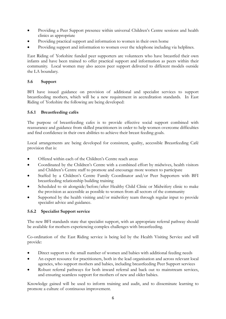- Providing a Peer Support presence within universal Children's Centre sessions and health clinics as appropriate
- Providing practical support and information to women in their own home
- Providing support and information to women over the telephone including via helplines.

East Riding of Yorkshire funded peer supporters are volunteers who have breastfed their own infants and have been trained to offer practical support and information as peers within their community. Local women may also access peer support delivered to different models outside the LA boundary.

#### **5.6 Support**

BFI have issued guidance on provision of additional and specialist services to support breastfeeding mothers, which will be a new requirement in accreditation standards. In East Riding of Yorkshire the following are being developed:

#### **5.6.1 Breastfeeding cafés**

The purpose of breastfeeding cafes is to provide effective social support combined with reassurance and guidance from skilled practitioners in order to help women overcome difficulties and find confidence in their own abilities to achieve their breast feeding goals.

Local arrangements are being developed for consistent, quality, accessible Breastfeeding Café provision that is:

- Offered within each of the Children's Centre reach areas
- Coordinated by the Children's Centre with a combined effort by midwives, health visitors and Children's Centre staff to promote and encourage more women to participate
- Staffed by a Children's Centre Family Coordinator and/or Peer Supporters with BFI breastfeeding relationship building training
- Scheduled to sit alongside/before/after Healthy Child Clinic or Midwifery clinic to make the provision as accessible as possible to women from all sectors of the community
- Supported by the health visiting and/or midwifery team through regular input to provide specialist advice and guidance.

#### **5.6.2 Specialist Support service**

The new BFI standards state that specialist support, with an appropriate referral pathway should be available for mothers experiencing complex challenges with breastfeeding.

Co-ordination of the East Riding service is being led by the Health Visiting Service and will provide:

- Direct support to the small number of women and babies with additional feeding needs
- An expert resource for practitioners, both in the lead organisation and across relevant local agencies, who support mothers and babies, including breastfeeding Peer Support services
- Robust referral pathways for both inward referral and back out to mainstream services, and ensuring seamless support for mothers of new and older babies.

Knowledge gained will be used to inform training and audit, and to disseminate learning to promote a culture of continuous improvement.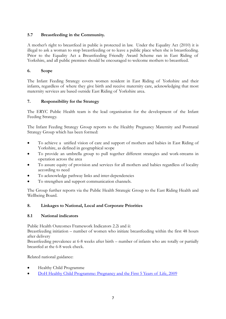## **5.7 Breastfeeding in the Community.**

A mother's right to breastfeed in public is protected in law. Under the Equality Act (2010) it is illegal to ask a woman to stop breastfeeding or to leave a public place when she is breastfeeding. Prior to the Equality Act a Breastfeeding Friendly Award Scheme ran in East Riding of Yorkshire, and all public premises should be encouraged to welcome mothers to breastfeed.

#### **6. Scope**

The Infant Feeding Strategy covers women resident in East Riding of Yorkshire and their infants, regardless of where they give birth and receive maternity care, acknowledging that most maternity services are based outside East Riding of Yorkshire area.

## **7. Responsibility for the Strategy**

The ERYC Public Health team is the lead organisation for the development of the Infant Feeding Strategy.

The Infant Feeding Strategy Group reports to the Healthy Pregnancy Maternity and Postnatal Strategy Group which has been formed:

- To achieve a unified vision of care and support of mothers and babies in East Riding of Yorkshire, as defined in geographical scope
- To provide an umbrella group to pull together different strategies and work-streams in operation across the area
- To assure equity of provision and services for all mothers and babies regardless of locality according to need
- To acknowledge pathway links and inter-dependencies
- To strengthen and support communication channels.

The Group further reports via the Public Health Strategic Group to the East Riding Health and Wellbeing Board.

#### **8. Linkages to National, Local and Corporate Priorities**

#### **8.1 National indicators**

Public Health Outcomes Framework Indicators 2.2i and ii:

Breastfeeding initiation – number of women who initiate breastfeeding within the first 48 hours after delivery

Breastfeeding prevalence at 6-8 weeks after birth – number of infants who are totally or partially breastfed at the 6-8 week check.

Related national guidance:

- Healthy Child Programme
- DoH Healthy Child Programme: Pregnancy and the First 5 Years of Life, 2009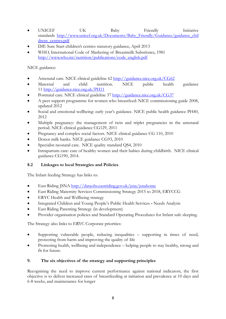- UNICEF UK Baby Friendly Initiative standards [http://www.unicef.org.uk/Documents/Baby\\_Friendly/Guidance/guidance\\_chil](http://www.unicef.org.uk/Documents/Baby_Friendly/Guidance/guidance_childrens_centres.pdf) [drens\\_centres.pdf](http://www.unicef.org.uk/Documents/Baby_Friendly/Guidance/guidance_childrens_centres.pdf)
- DfE Sure Start children's centres statutory guidance, April 2013
- WHO, International Code of Marketing of Breastmilk Substitutes, 1981 [http://www.who.int/nutrition/publications/code\\_english.pdf](http://www.who.int/nutrition/publications/code_english.pdf)

NICE guidance:

- Antenatal care. NICE clinical guideline 62<http://guidance.nice.org.uk/CG62>
- Maternal and child nutrition. NICE public health guidance 11<http://guidance.nice.org.uk/PH11>
- Postnatal care. NICE clinical guideline 37<http://guidance.nice.org.uk/CG37>
- A peer support programme for women who breastfeed: NICE commissioning guide 2008, updated 2012
- Social and emotional wellbeing: early year's guidance. NICE public health guidance PH40, 2012
- Multiple pregnancy: the management of twin and triplet pregnancies in the antenatal period. NICE clinical guidance CG129, 2011
- Pregnancy and complex social factors. NICE clinical guidance CG 110, 2010
- Donor milk banks. NICE guidance CG93, 2010
- Specialist neonatal care. NICE quality standard QS4, 2010
- Intrapartum care: care of healthy women and their babies during childbirth. NICE clinical guidance CG190, 2014.

## **8.2 Linkages to local Strategies and Policies**

The Infant feeding Strategy has links to:

- East Riding JSNA<http://dataobs.eastriding.gov.uk/jsna/jsnahome>
- East Riding Maternity Services Commissioning Strategy 2015 to 2018, ERYCCG
- ERYC Health and Wellbeing strategy
- Integrated Children and Young People's Public Health Services **-** Needs Analysis
- **East Riding Parenting Strategy (in development)**
- Provider organisation policies and Standard Operating Procedures for Infant safe sleeping.

The Strategy also links to ERYC Corporate priorities:

- Supporting vulnerable people, reducing inequalities supporting in times of need, protecting from harm and improving the quality of life
- Promoting health, wellbeing and independence helping people to stay healthy, strong and fit for future.

## **9. The six objectives of the strategy and supporting principles**

Recognising the need to improve current performance against national indicators, the first objective is to deliver increased rates of breastfeeding at initiation and prevalence at 10 days and 6-8 weeks, and maintenance for longer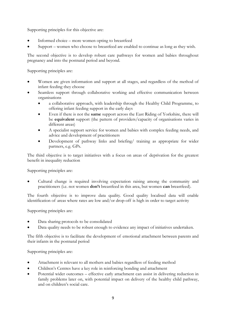Supporting principles for this objective are:

- Informed choice more women opting to breastfeed
- Support women who choose to breastfeed are enabled to continue as long as they wish.

The second objective is to develop robust care pathways for women and babies throughout pregnancy and into the postnatal period and beyond.

Supporting principles are:

- Women are given information and support at all stages, and regardless of the method of infant feeding they choose
- Seamless support through collaborative working and effective communication between organisations
	- a collaborative approach, with leadership through the Healthy Child Programme, to offering infant feeding support in the early days
	- Even if there is not the **same** support across the East Riding of Yorkshire, there will be **equivalent** support (the pattern of providers/capacity of organisations varies in different areas)
	- A specialist support service for women and babies with complex feeding needs, and advice and development of practitioners
	- Development of pathway links and briefing/ training as appropriate for wider partners, e.g. GPs.

The third objective is to target initiatives with a focus on areas of deprivation for the greatest benefit in inequality reduction

Supporting principles are:

• Cultural change is required involving expectation raising among the community and practitioners (i.e. not women **don't** breastfeed in this area, but women **can** breastfeed).

The fourth objective is to improve data quality. Good quality localised data will enable identification of areas where rates are low and/or drop-off is high in order to target activity

Supporting principles are:

- Data sharing protocols to be consolidated
- Data quality needs to be robust enough to evidence any impact of initiatives undertaken.

The fifth objective is to facilitate the development of emotional attachment between parents and their infants in the postnatal period

Supporting principles are:

- Attachment is relevant to all mothers and babies regardless of feeding method
- Children's Centres have a key role in reinforcing bonding and attachment
- Potential wider outcomes effective early attachment can assist in delivering reduction in family problems later on, with potential impact on delivery of the healthy child pathway, and on children's social care.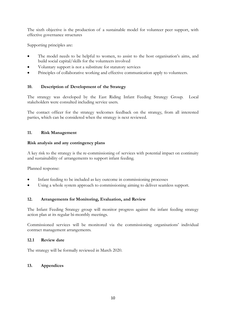The sixth objective is the production of a sustainable model for volunteer peer support, with effective governance structures

Supporting principles are:

- The model needs to be helpful to women, to assist to the host organisation's aims, and build social capital/skills for the volunteers involved
- Voluntary support is not a substitute for statutory services
- Principles of collaborative working and effective communication apply to volunteers.

#### **10. Description of Development of the Strategy**

The strategy was developed by the East Riding Infant Feeding Strategy Group. Local stakeholders were consulted including service users.

The contact officer for the strategy welcomes feedback on the strategy, from all interested parties, which can be considered when the strategy is next reviewed.

#### **11. Risk Management**

#### **Risk analysis and any contingency plans**

A key risk to the strategy is the re-commissioning of services with potential impact on continuity and sustainability of arrangements to support infant feeding.

Planned response:

- Infant feeding to be included as key outcome in commissioning processes
- Using a whole system approach to commissioning aiming to deliver seamless support.

#### **12. Arrangements for Monitoring, Evaluation, and Review**

The Infant Feeding Strategy group will monitor progress against the infant feeding strategy action plan at its regular bi-monthly meetings.

Commissioned services will be monitored via the commissioning organisations' individual contract management arrangements.

#### **12.1 Review date**

The strategy will be formally reviewed in March 2020.

#### **13. Appendices**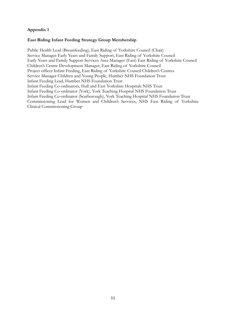#### **Appendix 1**

#### **East Riding Infant Feeding Strategy Group Membership**

Public Health Lead (Breastfeeding), East Riding of Yorkshire Council (Chair) Service Manager Early Years and Family Support, East Riding of Yorkshire Council Early Years and Family Support Services Area Manager (East) East Riding of Yorkshire Council Children's Centre Development Manager, East Riding of Yorkshire Council Project officer Infant Feeding, East Riding of Yorkshire Council Children's Centres Service Manager Children and Young People, Humber NHS Foundation Trust Infant Feeding Lead, Humber NHS Foundation Trust Infant Feeding Co-ordinators, Hull and East Yorkshire Hospitals NHS Trust Infant Feeding Co-ordinator (York), York Teaching Hospital NHS Foundation Trust Infant Feeding Co-ordinator (Scarborough), York Teaching Hospital NHS Foundation Trust Commissioning Lead for Women and Children's Services, NHS East Riding of Yorkshire Clinical Commissioning Group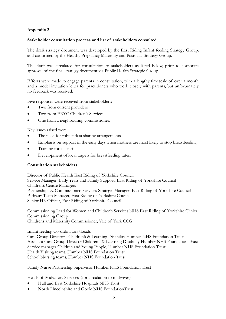## **Appendix 2**

#### **Stakeholder consultation process and list of stakeholders consulted**

The draft strategy document was developed by the East Riding Infant feeding Strategy Group, and confirmed by the Healthy Pregnancy Maternity and Postnatal Strategy Group.

The draft was circulated for consultation to stakeholders as listed below, prior to corporate approval of the final strategy document via Public Health Strategic Group.

Efforts were made to engage parents in consultation, with a lengthy timescale of over a month and a model invitation letter for practitioners who work closely with parents, but unfortunately no feedback was received.

Five responses were received from stakeholders:

- Two from current providers
- Two from ERYC Children's Services
- One from a neighbouring commissioner.

Key issues raised were:

- The need for robust data sharing arrangements
- Emphasis on support in the early days when mothers are most likely to stop breastfeeding
- Training for all staff
- Development of local targets for breastfeeding rates.

#### **Consultation stakeholders:**

Director of Public Health East Riding of Yorkshire Council Service Manager, Early Years and Family Support, East Riding of Yorkshire Council Children's Centre Managers Partnerships & Commissioned Services Strategic Manager, East Riding of Yorkshire Council Pathway Team Manager, East Riding of Yorkshire Council Senior HR Officer, East Riding of Yorkshire Council

Commissioning Lead for Women and Children's Services NHS East Riding of Yorkshire Clinical Commissioning Group Childrens and Maternity Commissioner, Vale of York CCG

Infant feeding Co-ordinators/Leads

Care Group Director - Children's & Learning Disability Humber NHS Foundation Trust Assistant Care Group Director Children's & Learning Disability Humber NHS Foundation Trust Service manager Children and Young People, Humber NHS Foundation Trust Health Visiting teams, Humber NHS Foundation Trust School Nursing teams, Humber NHS Foundation Trust

Family Nurse Partnership Supervisor Humber NHS Foundation Trust

Heads of Midwifery Services, (for circulation to midwives)

- Hull and East Yorkshire Hospitals NHS Trust
- North Lincolnshire and Goole NHS FoundationTrust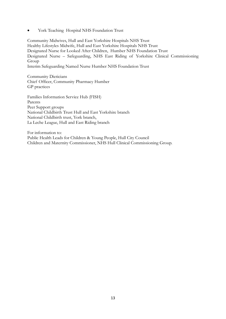• York Teaching Hospital NHS Foundation Trust

Community Midwives, Hull and East Yorkshire Hospitals NHS Trust Healthy Lifestyles Midwife, Hull and East Yorkshire Hospitals NHS Trust Designated Nurse for Looked After Children, Humber NHS Foundation Trust Designated Nurse – Safeguarding, NHS East Riding of Yorkshire Clinical Commissioning Group Interim Safeguarding Named Nurse Humber NHS Foundation Trust

Community Dieticians Chief Officer, Community Pharmacy Humber GP practices

Families Information Service Hub (FISH) Parents Peer Support groups National Childbirth Trust Hull and East Yorkshire branch National Childbirth trust, York branch, La Leche League, Hull and East Riding branch

For information to: Public Health Leads for Children & Young People, Hull City Council Children and Maternity Commissioner, NHS Hull Clinical Commissioning Group.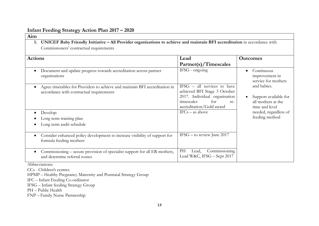## **Infant Feeding Strategy Action Plan 2017 – 2020**

| Aim            |                                                                                                                           |                                                                                                                                                      |                                                                                                                                                                                |
|----------------|---------------------------------------------------------------------------------------------------------------------------|------------------------------------------------------------------------------------------------------------------------------------------------------|--------------------------------------------------------------------------------------------------------------------------------------------------------------------------------|
|                | UNICEF Baby Friendly Initiative - All Provider organisations to achieve and maintain BFI accreditation in accordance with |                                                                                                                                                      |                                                                                                                                                                                |
|                | Commissioners' contractual requirements                                                                                   |                                                                                                                                                      |                                                                                                                                                                                |
| <b>Actions</b> |                                                                                                                           | Lead<br>Partner(s)/Timescales                                                                                                                        | <b>Outcomes</b>                                                                                                                                                                |
|                | Document and update progress towards accreditation across partner<br>organisations                                        | IFSG - ongoing                                                                                                                                       | Continuous<br>improvement in<br>service for mothers<br>and babies.<br>Support available for<br>all mothers at the<br>time and level<br>needed, regardless of<br>feeding method |
|                | Agree timetables for Providers to achieve and maintain BFI accreditation in<br>accordance with contractual requirements   | IFSG - all services to have<br>achieved BFI Stage 3 October<br>2017. Individual organisation<br>for<br>timescales<br>re-<br>accreditation/Gold award |                                                                                                                                                                                |
|                | Develop:<br>Long term training plan                                                                                       | $IFCs - as above$                                                                                                                                    |                                                                                                                                                                                |
|                | Long term audit schedule                                                                                                  |                                                                                                                                                      |                                                                                                                                                                                |
|                | Consider enhanced policy development to increase visibility of support for<br>formula feeding mothers                     | IFSG $-$ to review June 2017                                                                                                                         |                                                                                                                                                                                |
| $\bullet$      | Commissioning – secure provision of specialist support for all ER mothers,<br>and determine referral routes               | Commissioning<br>PH<br>Lead,<br>Lead W&C, IFSG - Sept 2017                                                                                           |                                                                                                                                                                                |

Abbreviations:

CCs - Children's centres

HPMP – Healthy Pregnancy Maternity and Postnatal Strategy Group

IFC – Infant Feeding Co-ordinator

IFSG – Infant feeding Strategy Group

PH – Public Health

FNP – Family Nurse Partnership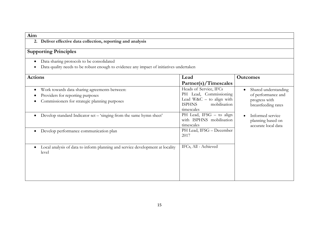| Aim                                                                                                                                  |                                                                                                                               |                                                                                    |  |
|--------------------------------------------------------------------------------------------------------------------------------------|-------------------------------------------------------------------------------------------------------------------------------|------------------------------------------------------------------------------------|--|
| 2. Deliver effective data collection, reporting and analysis                                                                         |                                                                                                                               |                                                                                    |  |
| <b>Supporting Principles</b>                                                                                                         |                                                                                                                               |                                                                                    |  |
| Data sharing protocols to be consolidated<br>Data quality needs to be robust enough to evidence any impact of initiatives undertaken |                                                                                                                               |                                                                                    |  |
| <b>Actions</b>                                                                                                                       | Lead<br>Partner(s)/Timescales                                                                                                 | <b>Outcomes</b>                                                                    |  |
| Work towards data sharing agreements between:<br>Providers for reporting purposes<br>Commissioners for strategic planning purposes   | Heads of Service, IFCs<br>PH Lead, Commissioning<br>Lead W&C $-$ to align with<br><b>ISPHNS</b><br>mobilisation<br>timescales | Shared understanding<br>of performance and<br>progress with<br>breastfeeding rates |  |
| Develop standard Indicator set - 'singing from the same hymn sheet'                                                                  | PH Lead, IFSG - to align<br>with ISPHNS mobilisation<br>timescales                                                            | Informed service<br>planning based on<br>accurate local data                       |  |
| Develop performance communication plan                                                                                               | PH Lead, IFSG - December<br>2017                                                                                              |                                                                                    |  |
| Local analysis of data to inform planning and service development at locality<br>level                                               | IFCs, All - Achieved                                                                                                          |                                                                                    |  |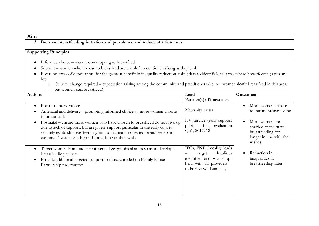**3. Increase breastfeeding initiation and prevalence and reduce attrition rates**

- Informed choice more women opting to breastfeed
- Support women who choose to breastfeed are enabled to continue as long as they wish
- Focus on areas of deprivation for the greatest benefit in inequality reduction, using data to identify local areas where breastfeeding rates are low
	- o Cultural change required expectation raising among the community and practitioners (i.e. not women **don't** breastfeed in this area, but women **can** breastfeed)

| <b>Actions</b>                                                                                                                                                                                                                                                                                        | Lead                                                                                                                                  | <b>Outcomes</b>                                                                                   |
|-------------------------------------------------------------------------------------------------------------------------------------------------------------------------------------------------------------------------------------------------------------------------------------------------------|---------------------------------------------------------------------------------------------------------------------------------------|---------------------------------------------------------------------------------------------------|
|                                                                                                                                                                                                                                                                                                       | Partner(s)/Timescales                                                                                                                 |                                                                                                   |
| Focus of intervention:<br>$\bullet$<br>Antenatal and delivery – promoting informed choice so more women choose<br>to breastfeed;                                                                                                                                                                      | Maternity trusts<br>HV service (early support                                                                                         | More women choose<br>to initiate breastfeeding                                                    |
| Postnatal – ensure those women who have chosen to breastfeed do not give up<br>due to lack of support, but are given support particular in the early days to<br>securely establish breastfeeding; aim to maintain motivated breastfeeders to<br>continue 6 weeks and beyond for as long as they wish. | pilot - final evaluation<br>Qu1, 2017/18                                                                                              | More women are<br>enabled to maintain<br>breastfeeding for<br>longer in line with their<br>wishes |
| Target women from under-represented geographical areas so as to develop a<br>breastfeeding culture<br>Provide additional targeted support to those enrolled on Family Nurse<br>Partnership programme                                                                                                  | IFCs, FNP, Locality leads<br>localities<br>target<br>identified and workshops<br>held with all providers -<br>to be reviewed annually | Reduction in<br>inequalities in<br>breastfeeding rates                                            |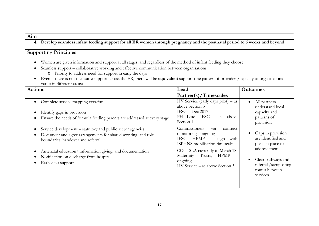**4. Develop seamless infant feeding support for all ER women through pregnancy and the postnatal period to 6 weeks and beyond**

- Women are given information and support at all stages, and regardless of the method of infant feeding they choose.
- Seamless support collaborative working and effective communication between organisations
	- o Priority to address need for support in early the days
- Even if there is not the **same** support across the ER, there will be **equivalent** support (the pattern of providers/capacity of organisations varies in different areas)

| <b>Actions</b>                                                                                                                                                  | Lead                                                                                                                        | <b>Outcomes</b>                                                                                                                                                                                                                                        |
|-----------------------------------------------------------------------------------------------------------------------------------------------------------------|-----------------------------------------------------------------------------------------------------------------------------|--------------------------------------------------------------------------------------------------------------------------------------------------------------------------------------------------------------------------------------------------------|
|                                                                                                                                                                 | Partner(s)/Timescales                                                                                                       |                                                                                                                                                                                                                                                        |
| Complete service mapping exercise<br>Identify gaps in provision<br>Ensure the needs of formula feeding parents are addressed at every stage                     | HV Service (early days pilot) $-$ as<br>above Section 3<br>IFSG - Dec 2017<br>PH Lead, IFSG - as above<br>Section 1         | All partners<br>$\bullet$<br>understand local<br>capacity and<br>patterns of<br>provision<br>Gaps in provision<br>are identified and<br>plans in place to<br>address them<br>Clear pathways and<br>referral /signposting<br>routes between<br>services |
| Service development – statutory and public sector agencies<br>Document and agree arrangements for shared working, and role<br>boundaries, handover and referral | Commissioners<br>via<br>contract<br>monitoring - ongoing<br>IFSG, HPMP –<br>with<br>align<br>ISPHNS mobilisation timescales |                                                                                                                                                                                                                                                        |
| Antenatal education/information giving, and documentation<br>Notification on discharge from hospital<br>Early days support                                      | $CCs - SLA$ currently to March 18<br>Trusts,<br><b>HPMP</b><br>Maternity<br>ongoing<br>HV Service – as above Section 3      |                                                                                                                                                                                                                                                        |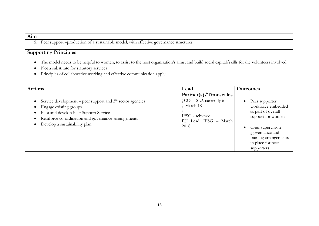**5.** Peer support –production of a sustainable model, with effective governance structures

- The model needs to be helpful to women, to assist to the host organisation's aims, and build social capital/skills for the volunteers involved
- Not a substitute for statutory services
- Principles of collaborative working and effective communication apply

| <b>Actions</b>                                                                                                                                                                                                           | Lead                                                                                                    | <b>Outcomes</b>                                                                                                                                                                                                |
|--------------------------------------------------------------------------------------------------------------------------------------------------------------------------------------------------------------------------|---------------------------------------------------------------------------------------------------------|----------------------------------------------------------------------------------------------------------------------------------------------------------------------------------------------------------------|
|                                                                                                                                                                                                                          | Partner(s)/Timescales                                                                                   |                                                                                                                                                                                                                |
| Service development – peer support and $3rd$ sector agencies<br>Engage existing groups<br>Pilot and develop Peer Support Service<br>Reinforce co-ordination and governance arrangements<br>Develop a sustainability plan | $\{CCs - SLA \text{ currently to }\}$<br>} March 18<br>IFSG - achieved<br>PH Lead, IFSG - March<br>2018 | Peer supporter<br>$\bullet$<br>workforce embedded<br>as part of overall<br>support for women<br>Clear supervision<br>$\bullet$<br>, governance and<br>training arrangements<br>in place for peer<br>supporters |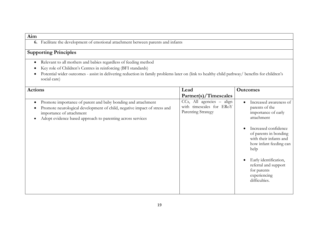**6.** Facilitate the development of emotional attachment between parents and infants

- Relevant to all mothers and babies regardless of feeding method
- Key role of Children's Centres in reinforcing (BFI standards)
- Potential wider outcomes assist in delivering reduction in family problems later on (link to healthy child pathway/ benefits for children's social care)

| <b>Actions</b>                                                                                                                                                                                                                                  | Lead                                                                        | <b>Outcomes</b>                                                                                                                                                                                                                                                         |
|-------------------------------------------------------------------------------------------------------------------------------------------------------------------------------------------------------------------------------------------------|-----------------------------------------------------------------------------|-------------------------------------------------------------------------------------------------------------------------------------------------------------------------------------------------------------------------------------------------------------------------|
|                                                                                                                                                                                                                                                 | Partner(s)/Timescales                                                       |                                                                                                                                                                                                                                                                         |
| Promote importance of parent and baby bonding and attachment<br>$\bullet$<br>Promote neurological development of child, negative impact of stress and<br>importance of attachment<br>Adopt evidence based approach to parenting across services | CCs, All agencies – align<br>with timescales for ERoY<br>Parenting Strategy | Increased awareness of<br>$\bullet$<br>parents of the<br>importance of early<br>attachment<br>Increased confidence<br>of parents in bonding<br>with their infants and<br>how infant feeding can<br>help<br>Early identification,<br>referral and support<br>for parents |
|                                                                                                                                                                                                                                                 |                                                                             | experiencing<br>difficulties.                                                                                                                                                                                                                                           |